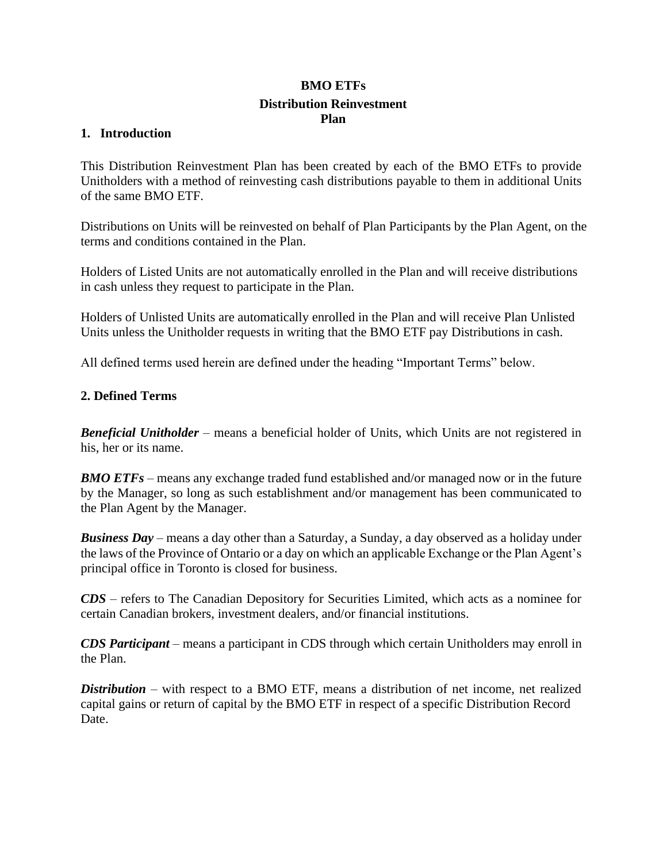# **BMO ETFs Distribution Reinvestment Plan**

### **1. Introduction**

This Distribution Reinvestment Plan has been created by each of the BMO ETFs to provide Unitholders with a method of reinvesting cash distributions payable to them in additional Units of the same BMO ETF.

Distributions on Units will be reinvested on behalf of Plan Participants by the Plan Agent, on the terms and conditions contained in the Plan.

Holders of Listed Units are not automatically enrolled in the Plan and will receive distributions in cash unless they request to participate in the Plan.

Holders of Unlisted Units are automatically enrolled in the Plan and will receive Plan Unlisted Units unless the Unitholder requests in writing that the BMO ETF pay Distributions in cash.

All defined terms used herein are defined under the heading "Important Terms" below.

### **2. Defined Terms**

*Beneficial Unitholder* – means a beneficial holder of Units, which Units are not registered in his, her or its name.

*BMO ETFs* – means any exchange traded fund established and/or managed now or in the future by the Manager, so long as such establishment and/or management has been communicated to the Plan Agent by the Manager.

*Business Day* – means a day other than a Saturday, a Sunday, a day observed as a holiday under the laws of the Province of Ontario or a day on which an applicable Exchange or the Plan Agent's principal office in Toronto is closed for business.

*CDS* – refers to The Canadian Depository for Securities Limited, which acts as a nominee for certain Canadian brokers, investment dealers, and/or financial institutions.

*CDS Participant* – means a participant in CDS through which certain Unitholders may enroll in the Plan.

*Distribution* – with respect to a BMO ETF, means a distribution of net income, net realized capital gains or return of capital by the BMO ETF in respect of a specific Distribution Record Date.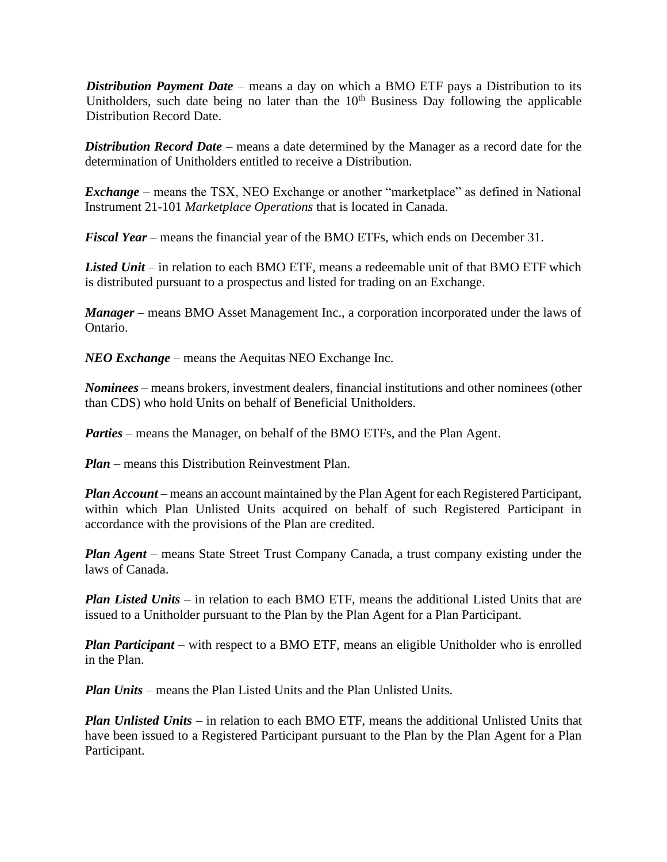*Distribution Payment Date* – means a day on which a BMO ETF pays a Distribution to its Unitholders, such date being no later than the  $10<sup>th</sup>$  Business Day following the applicable Distribution Record Date.

*Distribution Record Date* – means a date determined by the Manager as a record date for the determination of Unitholders entitled to receive a Distribution.

*Exchange* – means the TSX, NEO Exchange or another "marketplace" as defined in National Instrument 21-101 *Marketplace Operations* that is located in Canada.

*Fiscal Year* – means the financial year of the BMO ETFs, which ends on December 31.

Listed Unit – in relation to each BMO ETF, means a redeemable unit of that BMO ETF which is distributed pursuant to a prospectus and listed for trading on an Exchange.

*Manager* – means BMO Asset Management Inc., a corporation incorporated under the laws of Ontario.

*NEO Exchange* – means the Aequitas NEO Exchange Inc.

*Nominees* – means brokers, investment dealers, financial institutions and other nominees (other than CDS) who hold Units on behalf of Beneficial Unitholders.

*Parties* – means the Manager, on behalf of the BMO ETFs, and the Plan Agent.

*Plan* – means this Distribution Reinvestment Plan.

*Plan Account* – means an account maintained by the Plan Agent for each Registered Participant, within which Plan Unlisted Units acquired on behalf of such Registered Participant in accordance with the provisions of the Plan are credited.

*Plan Agent* – means State Street Trust Company Canada, a trust company existing under the laws of Canada.

*Plan Listed Units* – in relation to each BMO ETF, means the additional Listed Units that are issued to a Unitholder pursuant to the Plan by the Plan Agent for a Plan Participant.

*Plan Participant* – with respect to a BMO ETF, means an eligible Unitholder who is enrolled in the Plan.

*Plan Units* – means the Plan Listed Units and the Plan Unlisted Units.

*Plan Unlisted Units* – in relation to each BMO ETF, means the additional Unlisted Units that have been issued to a Registered Participant pursuant to the Plan by the Plan Agent for a Plan Participant.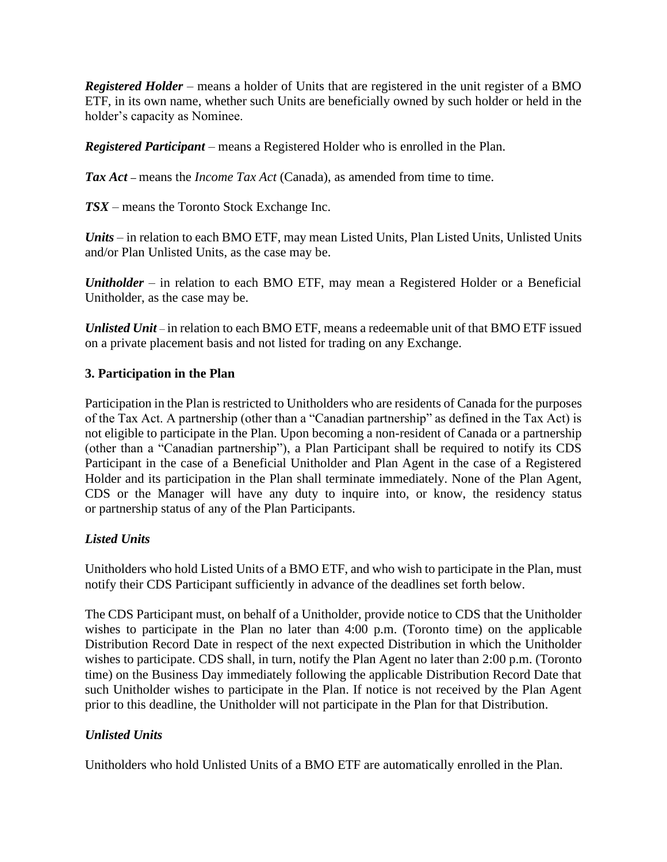*Registered Holder* – means a holder of Units that are registered in the unit register of a BMO ETF, in its own name, whether such Units are beneficially owned by such holder or held in the holder's capacity as Nominee.

*Registered Participant* – means a Registered Holder who is enrolled in the Plan.

*Tax Act* **–** means the *Income Tax Act* (Canada), as amended from time to time.

*TSX* – means the Toronto Stock Exchange Inc.

*Units* – in relation to each BMO ETF, may mean Listed Units, Plan Listed Units, Unlisted Units and/or Plan Unlisted Units, as the case may be.

*Unitholder* – in relation to each BMO ETF, may mean a Registered Holder or a Beneficial Unitholder, as the case may be.

*Unlisted Unit* – in relation to each BMO ETF, means a redeemable unit of that BMO ETF issued on a private placement basis and not listed for trading on any Exchange.

### **3. Participation in the Plan**

Participation in the Plan is restricted to Unitholders who are residents of Canada for the purposes of the Tax Act. A partnership (other than a "Canadian partnership" as defined in the Tax Act) is not eligible to participate in the Plan. Upon becoming a non-resident of Canada or a partnership (other than a "Canadian partnership"), a Plan Participant shall be required to notify its CDS Participant in the case of a Beneficial Unitholder and Plan Agent in the case of a Registered Holder and its participation in the Plan shall terminate immediately. None of the Plan Agent, CDS or the Manager will have any duty to inquire into, or know, the residency status or partnership status of any of the Plan Participants.

### *Listed Units*

Unitholders who hold Listed Units of a BMO ETF, and who wish to participate in the Plan, must notify their CDS Participant sufficiently in advance of the deadlines set forth below.

The CDS Participant must, on behalf of a Unitholder, provide notice to CDS that the Unitholder wishes to participate in the Plan no later than 4:00 p.m. (Toronto time) on the applicable Distribution Record Date in respect of the next expected Distribution in which the Unitholder wishes to participate. CDS shall, in turn, notify the Plan Agent no later than 2:00 p.m. (Toronto time) on the Business Day immediately following the applicable Distribution Record Date that such Unitholder wishes to participate in the Plan. If notice is not received by the Plan Agent prior to this deadline, the Unitholder will not participate in the Plan for that Distribution.

## *Unlisted Units*

Unitholders who hold Unlisted Units of a BMO ETF are automatically enrolled in the Plan.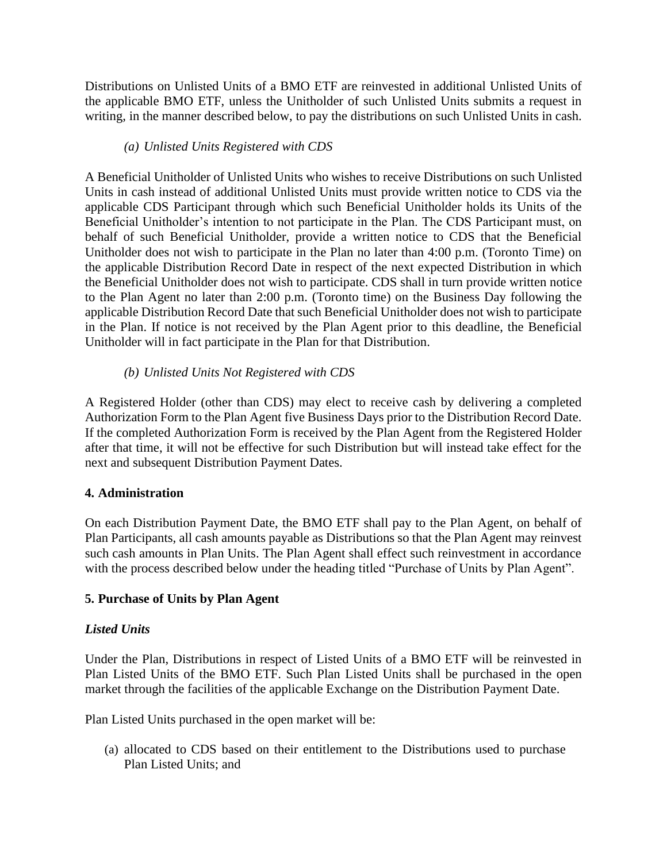Distributions on Unlisted Units of a BMO ETF are reinvested in additional Unlisted Units of the applicable BMO ETF, unless the Unitholder of such Unlisted Units submits a request in writing, in the manner described below, to pay the distributions on such Unlisted Units in cash.

## *(a) Unlisted Units Registered with CDS*

A Beneficial Unitholder of Unlisted Units who wishes to receive Distributions on such Unlisted Units in cash instead of additional Unlisted Units must provide written notice to CDS via the applicable CDS Participant through which such Beneficial Unitholder holds its Units of the Beneficial Unitholder's intention to not participate in the Plan. The CDS Participant must, on behalf of such Beneficial Unitholder, provide a written notice to CDS that the Beneficial Unitholder does not wish to participate in the Plan no later than 4:00 p.m. (Toronto Time) on the applicable Distribution Record Date in respect of the next expected Distribution in which the Beneficial Unitholder does not wish to participate. CDS shall in turn provide written notice to the Plan Agent no later than 2:00 p.m. (Toronto time) on the Business Day following the applicable Distribution Record Date that such Beneficial Unitholder does not wish to participate in the Plan. If notice is not received by the Plan Agent prior to this deadline, the Beneficial Unitholder will in fact participate in the Plan for that Distribution.

## *(b) Unlisted Units Not Registered with CDS*

A Registered Holder (other than CDS) may elect to receive cash by delivering a completed Authorization Form to the Plan Agent five Business Days prior to the Distribution Record Date. If the completed Authorization Form is received by the Plan Agent from the Registered Holder after that time, it will not be effective for such Distribution but will instead take effect for the next and subsequent Distribution Payment Dates.

## **4. Administration**

On each Distribution Payment Date, the BMO ETF shall pay to the Plan Agent, on behalf of Plan Participants, all cash amounts payable as Distributions so that the Plan Agent may reinvest such cash amounts in Plan Units. The Plan Agent shall effect such reinvestment in accordance with the process described below under the heading titled "Purchase of Units by Plan Agent".

## **5. Purchase of Units by Plan Agent**

### *Listed Units*

Under the Plan, Distributions in respect of Listed Units of a BMO ETF will be reinvested in Plan Listed Units of the BMO ETF. Such Plan Listed Units shall be purchased in the open market through the facilities of the applicable Exchange on the Distribution Payment Date.

Plan Listed Units purchased in the open market will be:

(a) allocated to CDS based on their entitlement to the Distributions used to purchase Plan Listed Units; and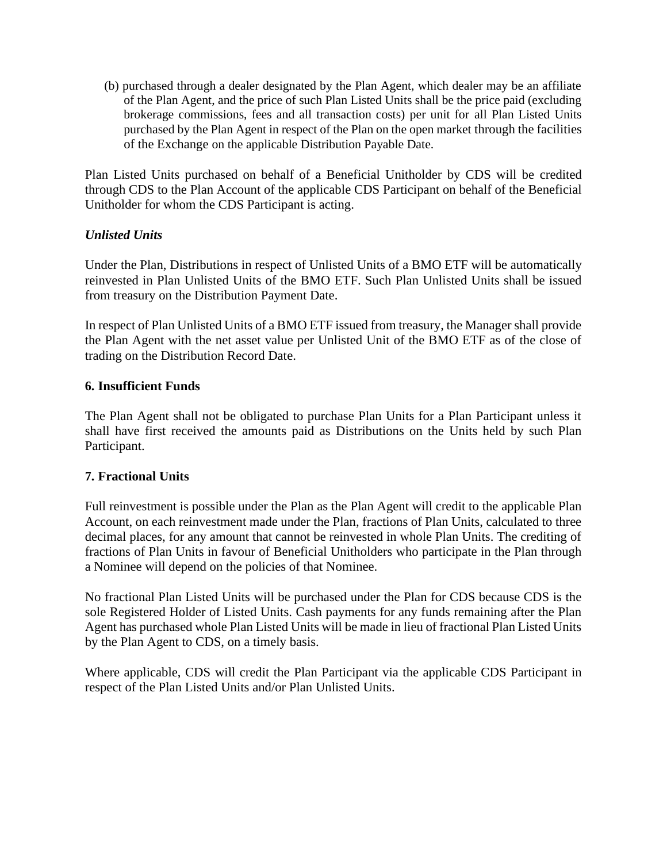(b) purchased through a dealer designated by the Plan Agent, which dealer may be an affiliate of the Plan Agent, and the price of such Plan Listed Units shall be the price paid (excluding brokerage commissions, fees and all transaction costs) per unit for all Plan Listed Units purchased by the Plan Agent in respect of the Plan on the open market through the facilities of the Exchange on the applicable Distribution Payable Date.

Plan Listed Units purchased on behalf of a Beneficial Unitholder by CDS will be credited through CDS to the Plan Account of the applicable CDS Participant on behalf of the Beneficial Unitholder for whom the CDS Participant is acting.

### *Unlisted Units*

Under the Plan, Distributions in respect of Unlisted Units of a BMO ETF will be automatically reinvested in Plan Unlisted Units of the BMO ETF. Such Plan Unlisted Units shall be issued from treasury on the Distribution Payment Date.

In respect of Plan Unlisted Units of a BMO ETF issued from treasury, the Manager shall provide the Plan Agent with the net asset value per Unlisted Unit of the BMO ETF as of the close of trading on the Distribution Record Date.

### **6. Insufficient Funds**

The Plan Agent shall not be obligated to purchase Plan Units for a Plan Participant unless it shall have first received the amounts paid as Distributions on the Units held by such Plan Participant.

## **7. Fractional Units**

Full reinvestment is possible under the Plan as the Plan Agent will credit to the applicable Plan Account, on each reinvestment made under the Plan, fractions of Plan Units, calculated to three decimal places, for any amount that cannot be reinvested in whole Plan Units. The crediting of fractions of Plan Units in favour of Beneficial Unitholders who participate in the Plan through a Nominee will depend on the policies of that Nominee.

No fractional Plan Listed Units will be purchased under the Plan for CDS because CDS is the sole Registered Holder of Listed Units. Cash payments for any funds remaining after the Plan Agent has purchased whole Plan Listed Units will be made in lieu of fractional Plan Listed Units by the Plan Agent to CDS, on a timely basis.

Where applicable, CDS will credit the Plan Participant via the applicable CDS Participant in respect of the Plan Listed Units and/or Plan Unlisted Units.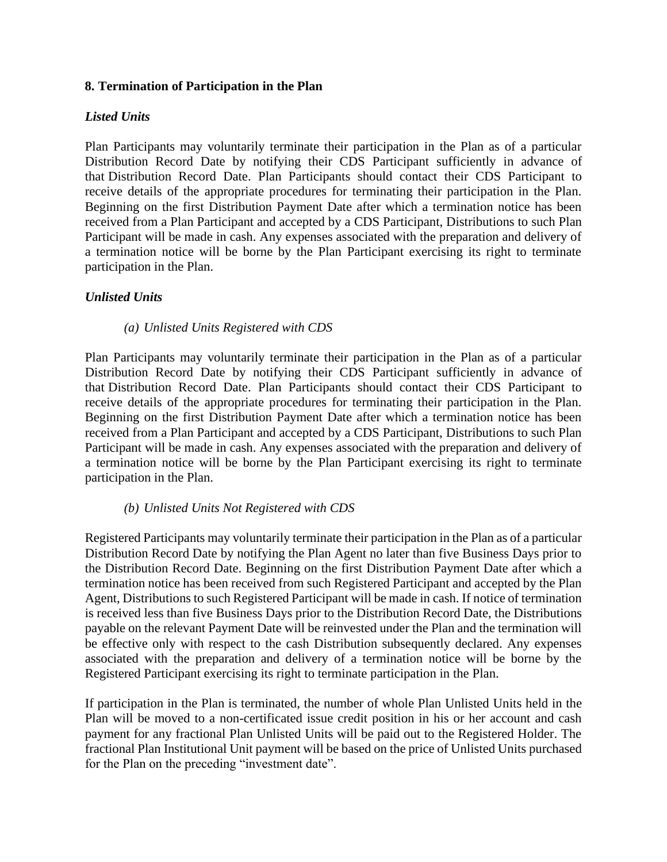### **8. Termination of Participation in the Plan**

### *Listed Units*

Plan Participants may voluntarily terminate their participation in the Plan as of a particular Distribution Record Date by notifying their CDS Participant sufficiently in advance of that Distribution Record Date. Plan Participants should contact their CDS Participant to receive details of the appropriate procedures for terminating their participation in the Plan. Beginning on the first Distribution Payment Date after which a termination notice has been received from a Plan Participant and accepted by a CDS Participant, Distributions to such Plan Participant will be made in cash. Any expenses associated with the preparation and delivery of a termination notice will be borne by the Plan Participant exercising its right to terminate participation in the Plan.

## *Unlisted Units*

### *(a) Unlisted Units Registered with CDS*

Plan Participants may voluntarily terminate their participation in the Plan as of a particular Distribution Record Date by notifying their CDS Participant sufficiently in advance of that Distribution Record Date. Plan Participants should contact their CDS Participant to receive details of the appropriate procedures for terminating their participation in the Plan. Beginning on the first Distribution Payment Date after which a termination notice has been received from a Plan Participant and accepted by a CDS Participant, Distributions to such Plan Participant will be made in cash. Any expenses associated with the preparation and delivery of a termination notice will be borne by the Plan Participant exercising its right to terminate participation in the Plan.

## *(b) Unlisted Units Not Registered with CDS*

Registered Participants may voluntarily terminate their participation in the Plan as of a particular Distribution Record Date by notifying the Plan Agent no later than five Business Days prior to the Distribution Record Date. Beginning on the first Distribution Payment Date after which a termination notice has been received from such Registered Participant and accepted by the Plan Agent, Distributions to such Registered Participant will be made in cash. If notice of termination is received less than five Business Days prior to the Distribution Record Date, the Distributions payable on the relevant Payment Date will be reinvested under the Plan and the termination will be effective only with respect to the cash Distribution subsequently declared. Any expenses associated with the preparation and delivery of a termination notice will be borne by the Registered Participant exercising its right to terminate participation in the Plan.

If participation in the Plan is terminated, the number of whole Plan Unlisted Units held in the Plan will be moved to a non-certificated issue credit position in his or her account and cash payment for any fractional Plan Unlisted Units will be paid out to the Registered Holder. The fractional Plan Institutional Unit payment will be based on the price of Unlisted Units purchased for the Plan on the preceding "investment date".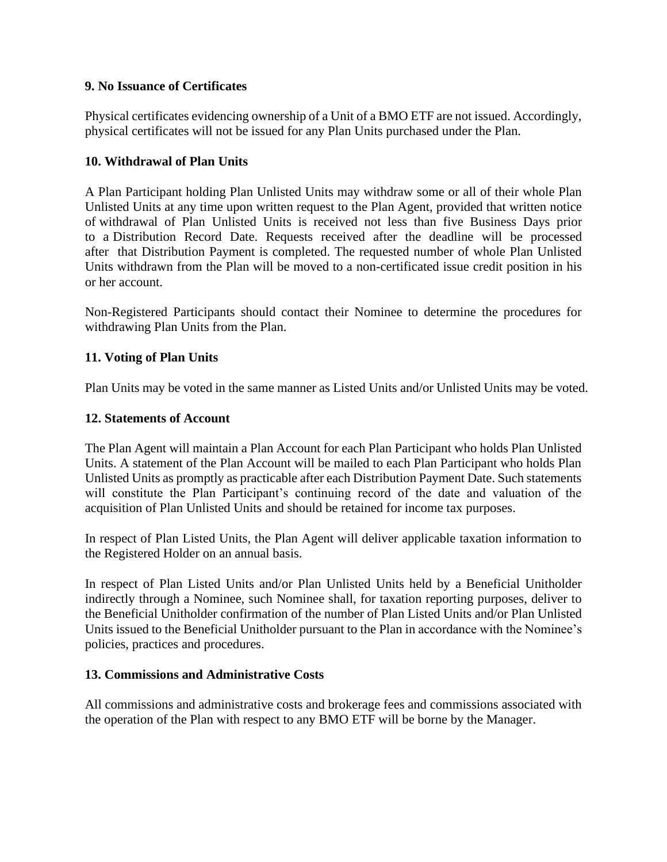## **9. No Issuance of Certificates**

Physical certificates evidencing ownership of a Unit of a BMO ETF are not issued. Accordingly, physical certificates will not be issued for any Plan Units purchased under the Plan.

### **10. Withdrawal of Plan Units**

A Plan Participant holding Plan Unlisted Units may withdraw some or all of their whole Plan Unlisted Units at any time upon written request to the Plan Agent, provided that written notice of withdrawal of Plan Unlisted Units is received not less than five Business Days prior to a Distribution Record Date. Requests received after the deadline will be processed after that Distribution Payment is completed. The requested number of whole Plan Unlisted Units withdrawn from the Plan will be moved to a non-certificated issue credit position in his or her account.

Non-Registered Participants should contact their Nominee to determine the procedures for withdrawing Plan Units from the Plan.

### **11. Voting of Plan Units**

Plan Units may be voted in the same manner as Listed Units and/or Unlisted Units may be voted.

### **12. Statements of Account**

The Plan Agent will maintain a Plan Account for each Plan Participant who holds Plan Unlisted Units. A statement of the Plan Account will be mailed to each Plan Participant who holds Plan Unlisted Units as promptly as practicable after each Distribution Payment Date. Such statements will constitute the Plan Participant's continuing record of the date and valuation of the acquisition of Plan Unlisted Units and should be retained for income tax purposes.

In respect of Plan Listed Units, the Plan Agent will deliver applicable taxation information to the Registered Holder on an annual basis.

In respect of Plan Listed Units and/or Plan Unlisted Units held by a Beneficial Unitholder indirectly through a Nominee, such Nominee shall, for taxation reporting purposes, deliver to the Beneficial Unitholder confirmation of the number of Plan Listed Units and/or Plan Unlisted Units issued to the Beneficial Unitholder pursuant to the Plan in accordance with the Nominee's policies, practices and procedures.

### **13. Commissions and Administrative Costs**

All commissions and administrative costs and brokerage fees and commissions associated with the operation of the Plan with respect to any BMO ETF will be borne by the Manager.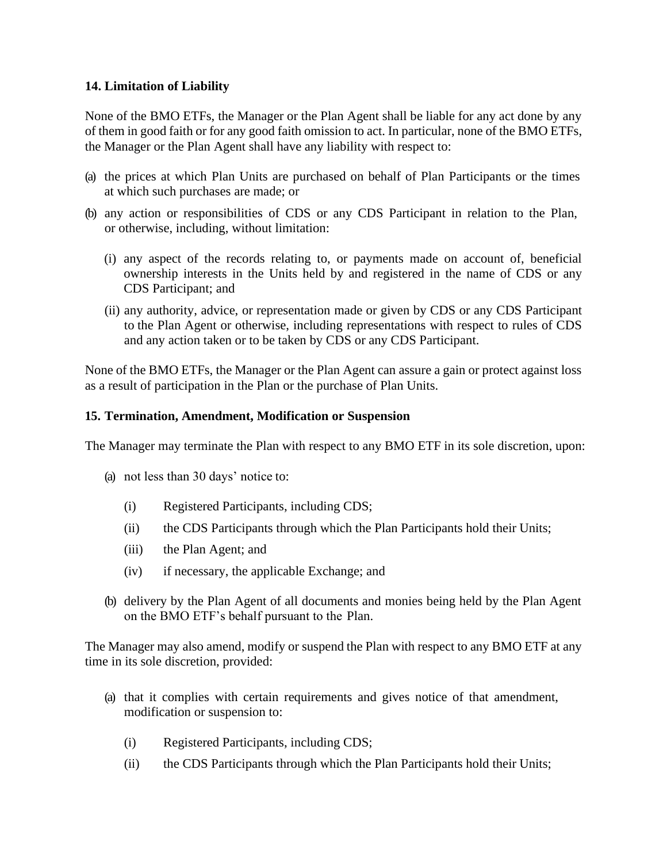## **14. Limitation of Liability**

None of the BMO ETFs, the Manager or the Plan Agent shall be liable for any act done by any of them in good faith or for any good faith omission to act. In particular, none of the BMO ETFs, the Manager or the Plan Agent shall have any liability with respect to:

- (a) the prices at which Plan Units are purchased on behalf of Plan Participants or the times at which such purchases are made; or
- (b) any action or responsibilities of CDS or any CDS Participant in relation to the Plan, or otherwise, including, without limitation:
	- (i) any aspect of the records relating to, or payments made on account of, beneficial ownership interests in the Units held by and registered in the name of CDS or any CDS Participant; and
	- (ii) any authority, advice, or representation made or given by CDS or any CDS Participant to the Plan Agent or otherwise, including representations with respect to rules of CDS and any action taken or to be taken by CDS or any CDS Participant.

None of the BMO ETFs, the Manager or the Plan Agent can assure a gain or protect against loss as a result of participation in the Plan or the purchase of Plan Units.

### **15. Termination, Amendment, Modification or Suspension**

The Manager may terminate the Plan with respect to any BMO ETF in its sole discretion, upon:

- (a) not less than 30 days' notice to:
	- (i) Registered Participants, including CDS;
	- (ii) the CDS Participants through which the Plan Participants hold their Units;
	- (iii) the Plan Agent; and
	- (iv) if necessary, the applicable Exchange; and
- (b) delivery by the Plan Agent of all documents and monies being held by the Plan Agent on the BMO ETF's behalf pursuant to the Plan.

The Manager may also amend, modify or suspend the Plan with respect to any BMO ETF at any time in its sole discretion, provided:

- (a) that it complies with certain requirements and gives notice of that amendment, modification or suspension to:
	- (i) Registered Participants, including CDS;
	- (ii) the CDS Participants through which the Plan Participants hold their Units;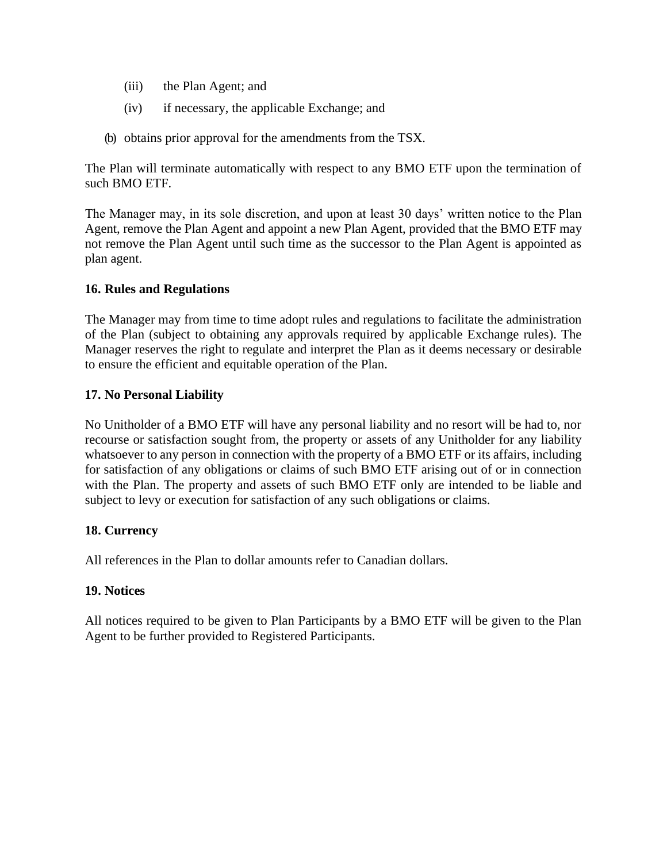- (iii) the Plan Agent; and
- (iv) if necessary, the applicable Exchange; and
- (b) obtains prior approval for the amendments from the TSX.

The Plan will terminate automatically with respect to any BMO ETF upon the termination of such BMO ETF.

The Manager may, in its sole discretion, and upon at least 30 days' written notice to the Plan Agent, remove the Plan Agent and appoint a new Plan Agent, provided that the BMO ETF may not remove the Plan Agent until such time as the successor to the Plan Agent is appointed as plan agent.

### **16. Rules and Regulations**

The Manager may from time to time adopt rules and regulations to facilitate the administration of the Plan (subject to obtaining any approvals required by applicable Exchange rules). The Manager reserves the right to regulate and interpret the Plan as it deems necessary or desirable to ensure the efficient and equitable operation of the Plan.

### **17. No Personal Liability**

No Unitholder of a BMO ETF will have any personal liability and no resort will be had to, nor recourse or satisfaction sought from, the property or assets of any Unitholder for any liability whatsoever to any person in connection with the property of a BMO ETF or its affairs, including for satisfaction of any obligations or claims of such BMO ETF arising out of or in connection with the Plan. The property and assets of such BMO ETF only are intended to be liable and subject to levy or execution for satisfaction of any such obligations or claims.

### **18. Currency**

All references in the Plan to dollar amounts refer to Canadian dollars.

### **19. Notices**

All notices required to be given to Plan Participants by a BMO ETF will be given to the Plan Agent to be further provided to Registered Participants.